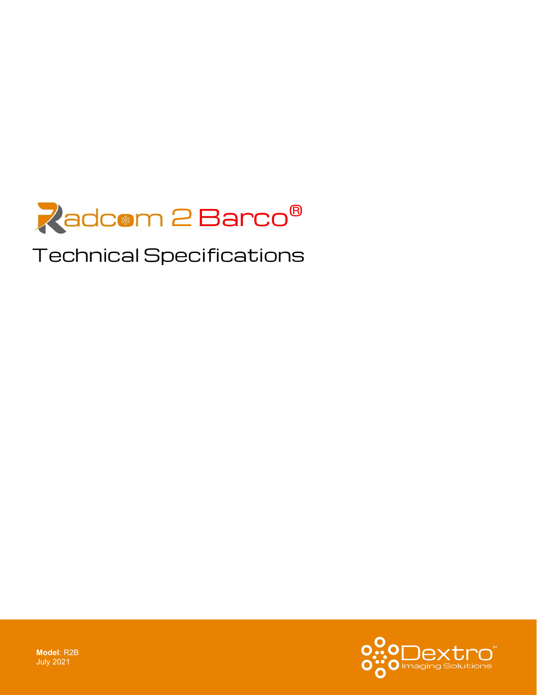

# Technical Specifications



**Model**: R2B July 2021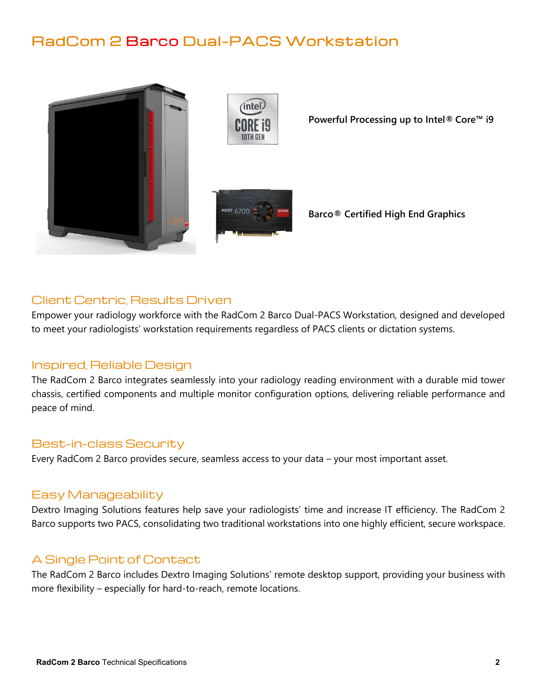# RadCom 2 Barco Dual-PACS Workstation





**Powerful Processing up to Intel® Core™ i9**



**Barco® Certified High End Graphics**

## Client Centric, Results Driven

Empower your radiology workforce with the RadCom 2 Barco Dual-PACS Workstation, designed and developed to meet your radiologists' workstation requirements regardless of PACS clients or dictation systems.

### Inspired, Reliable Design

The RadCom 2 Barco integrates seamlessly into your radiology reading environment with a durable mid tower chassis, certified components and multiple monitor configuration options, delivering reliable performance and peace of mind.

#### Best-in-class Security

Every RadCom 2 Barco provides secure, seamless access to your data – your most important asset.

#### Easy Manageability

Dextro Imaging Solutions features help save your radiologists' time and increase IT efficiency. The RadCom 2 Barco supports two PACS, consolidating two traditional workstations into one highly efficient, secure workspace.

### A Single Point of Contact

The RadCom 2 Barco includes Dextro Imaging Solutions' remote desktop support, providing your business with more flexibility – especially for hard-to-reach, remote locations.